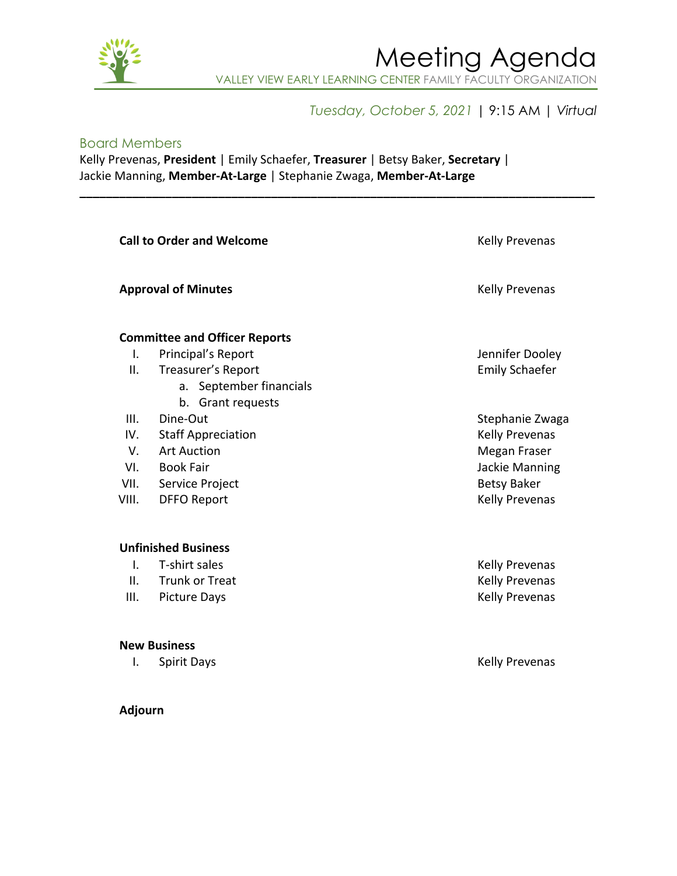

### Meeting Agenda VALLEY VIEW EARLY LEARNING CENTER FAMILY FACULTY ORGANIZATION

#### *Tuesday, October 5, 2021* | 9:15 AM | *Virtual*

#### Board Members

Kelly Prevenas, **President** | Emily Schaefer, **Treasurer** | Betsy Baker, **Secretary** | Jackie Manning, **Member-At-Large** | Stephanie Zwaga, **Member-At-Large**

**\_\_\_\_\_\_\_\_\_\_\_\_\_\_\_\_\_\_\_\_\_\_\_\_\_\_\_\_\_\_\_\_\_\_\_\_\_\_\_\_\_\_\_\_\_\_\_\_\_\_\_\_\_\_\_\_\_\_\_\_\_\_\_\_\_\_\_\_\_\_\_\_\_\_\_\_\_\_**

| <b>Call to Order and Welcome</b> | Kelly Prevenas                       |                                      |
|----------------------------------|--------------------------------------|--------------------------------------|
|                                  | <b>Approval of Minutes</b>           |                                      |
|                                  | <b>Committee and Officer Reports</b> |                                      |
| $\mathsf{L}$                     | Principal's Report                   | Jennifer Dooley                      |
| ΙΙ.                              | Treasurer's Report                   | <b>Emily Schaefer</b>                |
|                                  | a. September financials              |                                      |
|                                  | b. Grant requests                    |                                      |
| III.                             | Dine-Out                             | Stephanie Zwaga                      |
| IV.                              | <b>Staff Appreciation</b>            | Kelly Prevenas                       |
| $V_{\perp}$<br>VI.               | Art Auction<br>Book Fair             | Megan Fraser                         |
| VII.                             | Service Project                      | Jackie Manning<br><b>Betsy Baker</b> |
| VIII.                            | <b>DFFO Report</b>                   | Kelly Prevenas                       |
|                                  |                                      |                                      |
|                                  | <b>Unfinished Business</b>           |                                      |
| I.                               | T-shirt sales                        | Kelly Prevenas                       |
| Ш.                               | <b>Trunk or Treat</b>                | Kelly Prevenas                       |
| III.                             | <b>Picture Days</b>                  | Kelly Prevenas                       |
|                                  | <b>New Business</b>                  |                                      |
| I.                               | <b>Spirit Days</b>                   | <b>Kelly Prevenas</b>                |

#### **Adjourn**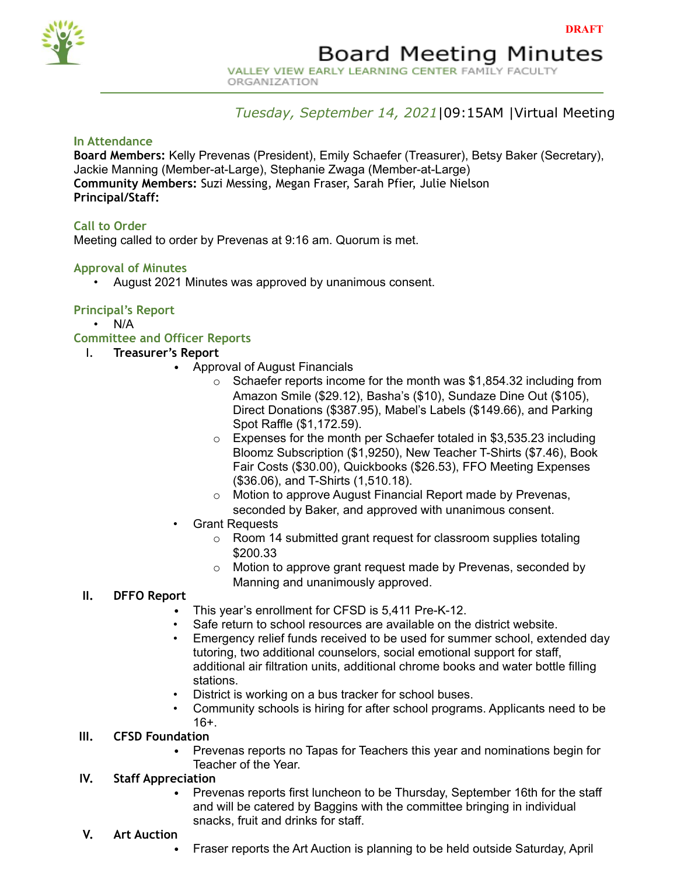

VALLEY VIEW EARLY LEARNING CENTER FAMILY FACULTY ORGANIZATION

#### *Tuesday, September 14, 2021*|09:15AM |Virtual Meeting

#### **In Attendance**

**Board Members:** Kelly Prevenas (President), Emily Schaefer (Treasurer), Betsy Baker (Secretary), Jackie Manning (Member-at-Large), Stephanie Zwaga (Member-at-Large) **Community Members:** Suzi Messing, Megan Fraser, Sarah Pfier, Julie Nielson **Principal/Staff:**

#### **Call to Order**

Meeting called to order by Prevenas at 9:16 am. Quorum is met.

#### **Approval of Minutes**

• August 2021 Minutes was approved by unanimous consent.

#### **Principal's Report**

• N/A

#### **Committee and Officer Reports**

- I. **Treasurer's Report**
	- Approval of August Financials
		- $\circ$  Schaefer reports income for the month was \$1,854.32 including from Amazon Smile (\$29.12), Basha's (\$10), Sundaze Dine Out (\$105), Direct Donations (\$387.95), Mabel's Labels (\$149.66), and Parking Spot Raffle (\$1,172.59).
		- o Expenses for the month per Schaefer totaled in \$3,535.23 including Bloomz Subscription (\$1,9250), New Teacher T-Shirts (\$7.46), Book Fair Costs (\$30.00), Quickbooks (\$26.53), FFO Meeting Expenses (\$36.06), and T-Shirts (1,510.18).
		- o Motion to approve August Financial Report made by Prevenas, seconded by Baker, and approved with unanimous consent.
	- Grant Requests
		- o Room 14 submitted grant request for classroom supplies totaling \$200.33
		- o Motion to approve grant request made by Prevenas, seconded by Manning and unanimously approved.

#### **II. DFFO Report**

- This year's enrollment for CFSD is 5,411 Pre-K-12.
- Safe return to school resources are available on the district website.
- Emergency relief funds received to be used for summer school, extended day tutoring, two additional counselors, social emotional support for staff, additional air filtration units, additional chrome books and water bottle filling stations.
- District is working on a bus tracker for school buses.
- Community schools is hiring for after school programs. Applicants need to be 16+.

#### **III. CFSD Foundation**

• Prevenas reports no Tapas for Teachers this year and nominations begin for Teacher of the Year.

#### **IV. Staff Appreciation**

- Prevenas reports first luncheon to be Thursday, September 16th for the staff and will be catered by Baggins with the committee bringing in individual snacks, fruit and drinks for staff.
- **V. Art Auction**
	- Fraser reports the Art Auction is planning to be held outside Saturday, April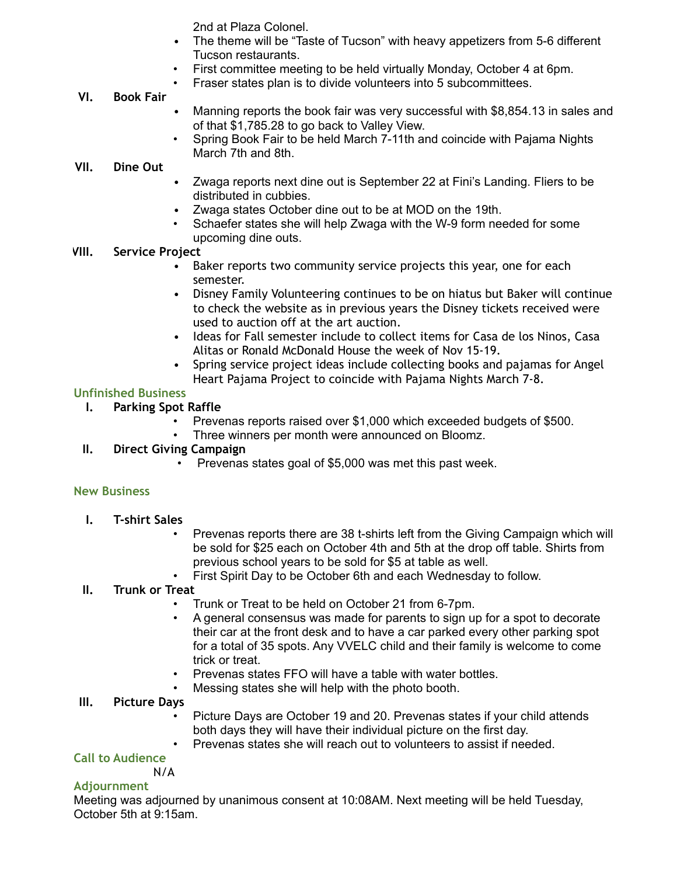2nd at Plaza Colonel.

- The theme will be "Taste of Tucson" with heavy appetizers from 5-6 different Tucson restaurants.
- First committee meeting to be held virtually Monday, October 4 at 6pm.
	- Fraser states plan is to divide volunteers into 5 subcommittees.

#### **VI. Book Fair**

- Manning reports the book fair was very successful with \$8,854.13 in sales and of that \$1,785.28 to go back to Valley View.
- Spring Book Fair to be held March 7-11th and coincide with Pajama Nights March 7th and 8th.

#### **VII. Dine Out**

- Zwaga reports next dine out is September 22 at Fini's Landing. Fliers to be distributed in cubbies.
- Zwaga states October dine out to be at MOD on the 19th.
- Schaefer states she will help Zwaga with the W-9 form needed for some upcoming dine outs.

#### **VIII. Service Project**

- Baker reports two community service projects this year, one for each semester.
- Disney Family Volunteering continues to be on hiatus but Baker will continue to check the website as in previous years the Disney tickets received were used to auction off at the art auction.
- Ideas for Fall semester include to collect items for Casa de los Ninos, Casa Alitas or Ronald McDonald House the week of Nov 15-19.
- Spring service project ideas include collecting books and pajamas for Angel Heart Pajama Project to coincide with Pajama Nights March 7-8.

#### **Unfinished Business**

- **I. Parking Spot Raffle**
	- Prevenas reports raised over \$1,000 which exceeded budgets of \$500.
	- Three winners per month were announced on Bloomz.

#### **II. Direct Giving Campaign**

• Prevenas states goal of \$5,000 was met this past week.

#### **New Business**

- **I. T-shirt Sales**
	- Prevenas reports there are 38 t-shirts left from the Giving Campaign which will be sold for \$25 each on October 4th and 5th at the drop off table. Shirts from previous school years to be sold for \$5 at table as well.
	- First Spirit Day to be October 6th and each Wednesday to follow.

#### **II. Trunk or Treat**

- Trunk or Treat to be held on October 21 from 6-7pm.
- A general consensus was made for parents to sign up for a spot to decorate their car at the front desk and to have a car parked every other parking spot for a total of 35 spots. Any VVELC child and their family is welcome to come trick or treat.
- Prevenas states FFO will have a table with water bottles.
- Messing states she will help with the photo booth.

#### **III. Picture Days**

- Picture Days are October 19 and 20. Prevenas states if your child attends both days they will have their individual picture on the first day.
- Prevenas states she will reach out to volunteers to assist if needed.

#### **Call to Audience**

N/A

#### **Adjournment**

Meeting was adjourned by unanimous consent at 10:08AM. Next meeting will be held Tuesday, October 5th at 9:15am.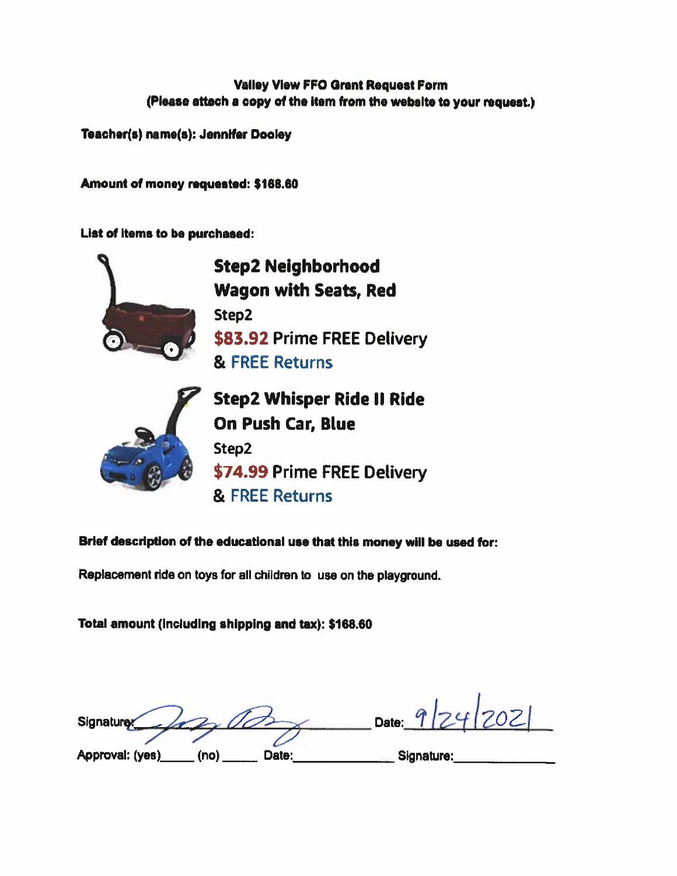#### **Valley View FFO Grant Request Form** (Please attach a copy of the item from the website to your request.)

Teacher(s) name(s): Jennifer Dooley

Amount of money requested: \$168.60

List of items to be purchased:



Brief description of the educational use that this money will be used for:

Replacement ride on toys for all children to use on the playground.

Total amount (including shipping and tax): \$168.60

Date: Signature Approval: (yes) (no) Date: Signature: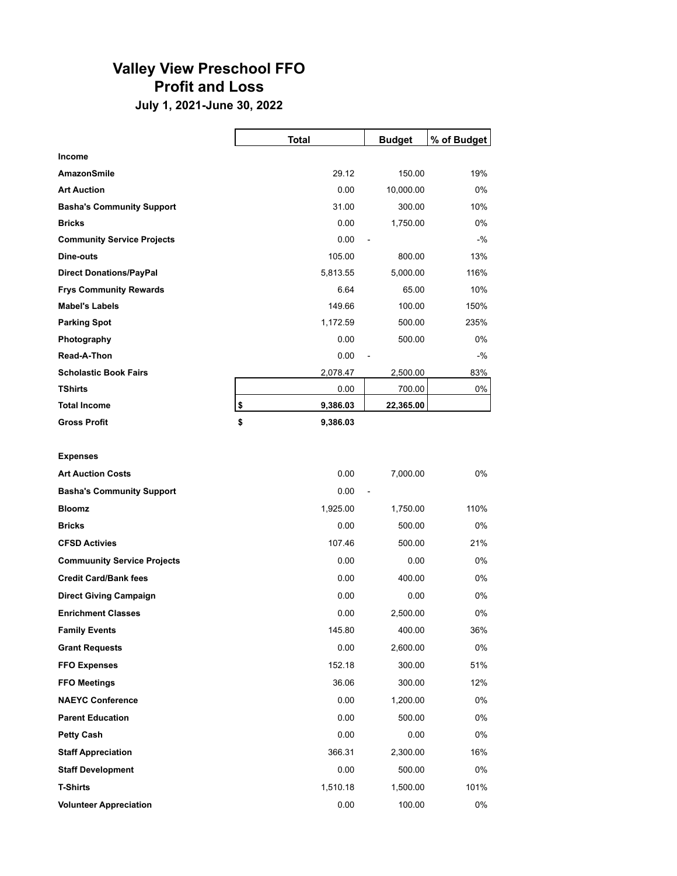#### Valley View Preschool FFO Profit and Loss

July 1, 2021-June 30, 2022

|                                    | <b>Total</b>   | <b>Budget</b>            | % of Budget |
|------------------------------------|----------------|--------------------------|-------------|
| Income                             |                |                          |             |
| <b>AmazonSmile</b>                 | 29.12          | 150.00                   | 19%         |
| <b>Art Auction</b>                 | 0.00           | 10,000.00                | 0%          |
| <b>Basha's Community Support</b>   | 31.00          | 300.00                   | 10%         |
| <b>Bricks</b>                      | 0.00           | 1,750.00                 | $0\%$       |
| <b>Community Service Projects</b>  | 0.00           | $\overline{a}$           | $-$ %       |
| Dine-outs                          | 105.00         | 800.00                   | 13%         |
| <b>Direct Donations/PayPal</b>     | 5,813.55       | 5,000.00                 | 116%        |
| <b>Frys Community Rewards</b>      | 6.64           | 65.00                    | 10%         |
| <b>Mabel's Labels</b>              | 149.66         | 100.00                   | 150%        |
| <b>Parking Spot</b>                | 1,172.59       | 500.00                   | 235%        |
| Photography                        | 0.00           | 500.00                   | 0%          |
| Read-A-Thon                        | 0.00           | $\overline{\phantom{m}}$ | $-$ %       |
| <b>Scholastic Book Fairs</b>       | 2,078.47       | 2,500.00                 | 83%         |
| <b>TShirts</b>                     | 0.00           | 700.00                   | 0%          |
| <b>Total Income</b>                | \$<br>9,386.03 | 22,365.00                |             |
| <b>Gross Profit</b>                | \$<br>9,386.03 |                          |             |
|                                    |                |                          |             |
| <b>Expenses</b>                    |                |                          |             |
| <b>Art Auction Costs</b>           | 0.00           | 7,000.00                 | 0%          |
| <b>Basha's Community Support</b>   | 0.00           | $\overline{\phantom{a}}$ |             |
| <b>Bloomz</b>                      | 1,925.00       | 1,750.00                 | 110%        |
| <b>Bricks</b>                      | 0.00           | 500.00                   | 0%          |
| <b>CFSD Activies</b>               | 107.46         | 500.00                   | 21%         |
| <b>Commuunity Service Projects</b> | 0.00           | 0.00                     | 0%          |

Credit Card/Bank fees 0.00 € 400.00 0% Direct Giving Campaign 6 and 100 minutes of 0.00 cm 0.00 cm 0.00 cm 0.00 cm 0.00 cm 0.00 cm 0.00 cm 0.00 cm 0.00 cm 0.00 cm 0.00 cm 0.00 cm 0.00 cm 0.00 cm 0.00 cm 0.00 cm 0.00 cm 0.00 cm 0.00 cm 0.00 cm 0.00 cm 0.00 cm 0. Enrichment Classes 6 and 2,500.00 and 2,500.00 cm  $\alpha$  2,500.00 cm  $\alpha$  0% **Family Events** 145.80  $\frac{400.00}{36\%}$ **Grant Requests 6.000**  $\frac{2,600.00}{2,600.00}$  **0% FFO Expenses 6 6 200.00 51% 6 300.00 51% 6 300.00 51% 6 300.00 51% 6 300.00 51% 6 300.00 51% 6 300.00 51% 6 30 FFO Meetings 36.06 6 300.00 12% NAEYC Conference** 0.00  $1,200.00$  0% Parent Education 0.00 € 500.00 0% **Petty Cash 6.00**  $\frac{1}{2}$  **0.00**  $\frac{1}{2}$  **0.00**  $\frac{1}{2}$  **0.00**  $\frac{1}{2}$  **0.00**  $\frac{1}{2}$  **0.00**  $\frac{1}{2}$  **0.00**  $\frac{1}{2}$  **0.00**  $\frac{1}{2}$  **0.00**  $\frac{1}{2}$  **0.00**  $\frac{1}{2}$  **0.00**  $\frac{1}{2}$  **0.00**  $\frac{1}{2}$  **0.00**  $\frac{1}{2}$  **0.00**  $\frac{1}{2}$  **Staff Appreciation** 366.31 **6.200.00 16% 366.31 2,300.00** 16% Staff Development 60% and the control of the control of the control of the control of the control of the control of the control of the control of the control of the control of the control of the control of the control of t T-Shirts 1,510.18 € 1,500.00 101%

Volunteer Appreciation 6% and the control of the control of the control of the control of the control of the control of the control of the control of the control of the control of the control of the control of the control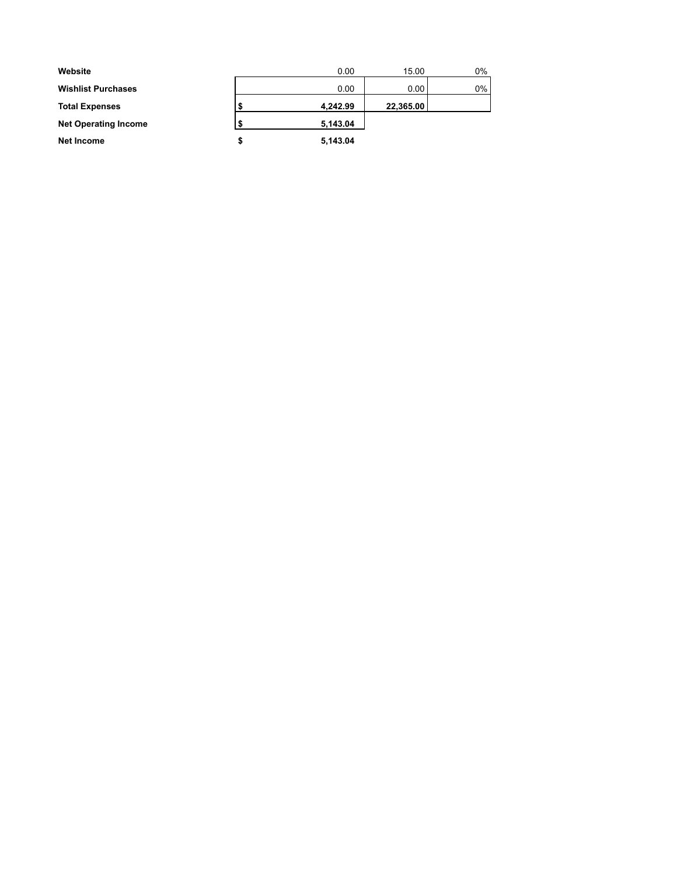| Website                     | 0.00     | 15.00     | $0\%$ |
|-----------------------------|----------|-----------|-------|
| <b>Wishlist Purchases</b>   | 0.00     | 0.00      | $0\%$ |
| <b>Total Expenses</b>       | 4,242.99 | 22,365.00 |       |
| <b>Net Operating Income</b> | 5,143.04 |           |       |
| Net Income                  | 5,143.04 |           |       |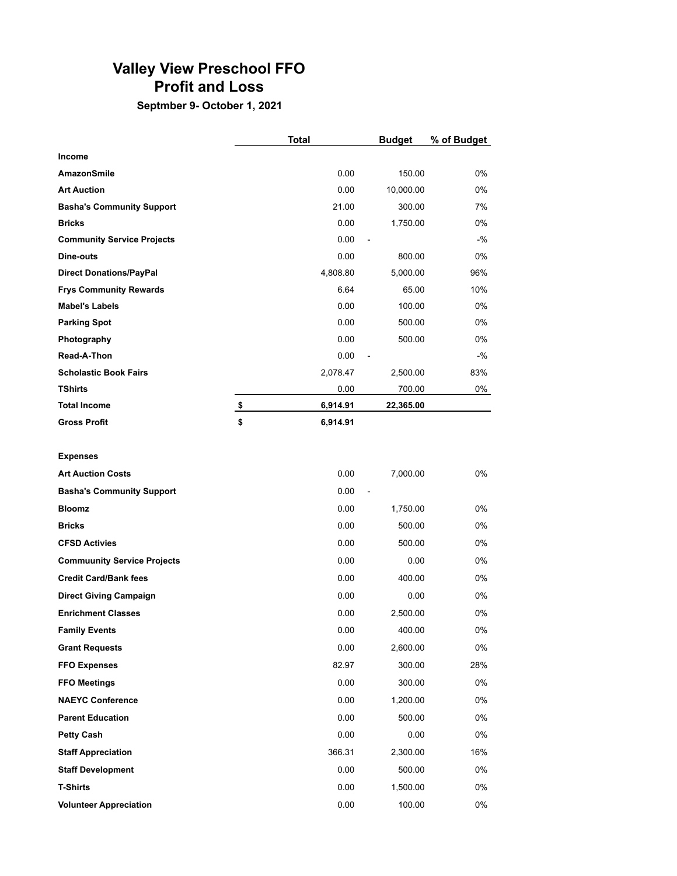#### Valley View Preschool FFO Profit and Loss

#### Septmber 9- October 1, 2021

|                                   | <b>Total</b>   | <b>Budget</b>  | % of Budget |
|-----------------------------------|----------------|----------------|-------------|
| Income                            |                |                |             |
| <b>AmazonSmile</b>                | 0.00           | 150.00         | $0\%$       |
| <b>Art Auction</b>                | 0.00           | 10,000.00      | $0\%$       |
| <b>Basha's Community Support</b>  | 21.00          | 300.00         | 7%          |
| <b>Bricks</b>                     | 0.00           | 1,750.00       | 0%          |
| <b>Community Service Projects</b> | 0.00           | $\overline{a}$ | $-$ %       |
| Dine-outs                         | 0.00           | 800.00         | 0%          |
| <b>Direct Donations/PayPal</b>    | 4,808.80       | 5,000.00       | 96%         |
| <b>Frys Community Rewards</b>     | 6.64           | 65.00          | 10%         |
| <b>Mabel's Labels</b>             | 0.00           | 100.00         | 0%          |
| <b>Parking Spot</b>               | 0.00           | 500.00         | 0%          |
| Photography                       | 0.00           | 500.00         | 0%          |
| Read-A-Thon                       | 0.00           | $\overline{a}$ | $-$ %       |
| <b>Scholastic Book Fairs</b>      | 2,078.47       | 2,500.00       | 83%         |
| <b>TShirts</b>                    | 0.00           | 700.00         | 0%          |
| <b>Total Income</b>               | \$<br>6,914.91 | 22,365.00      |             |
| <b>Gross Profit</b>               | \$<br>6,914.91 |                |             |

#### Expenses

| <b>Art Auction Costs</b>           | 0.00   | 7,000.00                 | $0\%$ |
|------------------------------------|--------|--------------------------|-------|
| <b>Basha's Community Support</b>   | 0.00   | $\overline{\phantom{a}}$ |       |
|                                    |        |                          |       |
| <b>Bloomz</b>                      | 0.00   | 1,750.00                 | 0%    |
| <b>Bricks</b>                      | 0.00   | 500.00                   | 0%    |
| <b>CFSD Activies</b>               | 0.00   | 500.00                   | 0%    |
| <b>Commuunity Service Projects</b> | 0.00   | 0.00                     | 0%    |
| <b>Credit Card/Bank fees</b>       | 0.00   | 400.00                   | 0%    |
| <b>Direct Giving Campaign</b>      | 0.00   | 0.00                     | 0%    |
| <b>Enrichment Classes</b>          | 0.00   | 2,500.00                 | 0%    |
| <b>Family Events</b>               | 0.00   | 400.00                   | 0%    |
| <b>Grant Requests</b>              | 0.00   | 2,600.00                 | 0%    |
| <b>FFO Expenses</b>                | 82.97  | 300.00                   | 28%   |
| <b>FFO Meetings</b>                | 0.00   | 300.00                   | 0%    |
| <b>NAEYC Conference</b>            | 0.00   | 1,200.00                 | 0%    |
| <b>Parent Education</b>            | 0.00   | 500.00                   | 0%    |
| <b>Petty Cash</b>                  | 0.00   | 0.00                     | 0%    |
| <b>Staff Appreciation</b>          | 366.31 | 2,300.00                 | 16%   |
| <b>Staff Development</b>           | 0.00   | 500.00                   | 0%    |
| <b>T-Shirts</b>                    | 0.00   | 1,500.00                 | 0%    |
| <b>Volunteer Appreciation</b>      | 0.00   | 100.00                   | 0%    |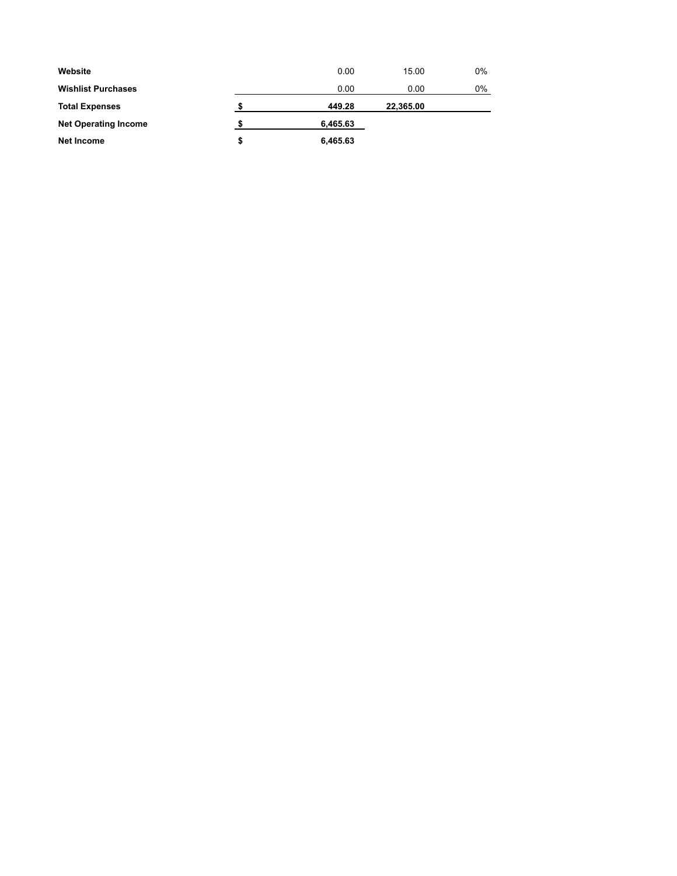| Website                     |    | 0.00     | 15.00     | 0% |
|-----------------------------|----|----------|-----------|----|
| <b>Wishlist Purchases</b>   |    | 0.00     | 0.00      | 0% |
| <b>Total Expenses</b>       | œ  | 449.28   | 22,365.00 |    |
| <b>Net Operating Income</b> |    | 6,465.63 |           |    |
| Net Income                  | \$ | 6,465.63 |           |    |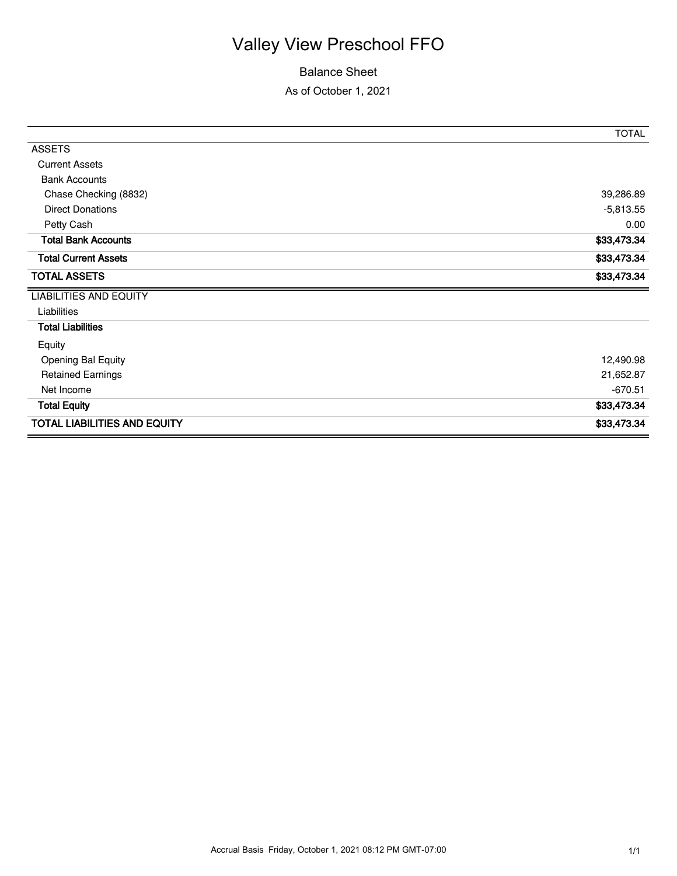## Valley View Preschool FFO

#### Balance Sheet

As of October 1, 2021

|                                     | <b>TOTAL</b> |
|-------------------------------------|--------------|
| <b>ASSETS</b>                       |              |
| <b>Current Assets</b>               |              |
| <b>Bank Accounts</b>                |              |
| Chase Checking (8832)               | 39,286.89    |
| <b>Direct Donations</b>             | $-5,813.55$  |
| Petty Cash                          | 0.00         |
| <b>Total Bank Accounts</b>          | \$33,473.34  |
| <b>Total Current Assets</b>         | \$33,473.34  |
| <b>TOTAL ASSETS</b>                 | \$33,473.34  |
| <b>LIABILITIES AND EQUITY</b>       |              |
| Liabilities                         |              |
| <b>Total Liabilities</b>            |              |
| Equity                              |              |
| <b>Opening Bal Equity</b>           | 12,490.98    |
| <b>Retained Earnings</b>            | 21,652.87    |
| Net Income                          | $-670.51$    |
| <b>Total Equity</b>                 | \$33,473.34  |
| <b>TOTAL LIABILITIES AND EQUITY</b> | \$33,473.34  |